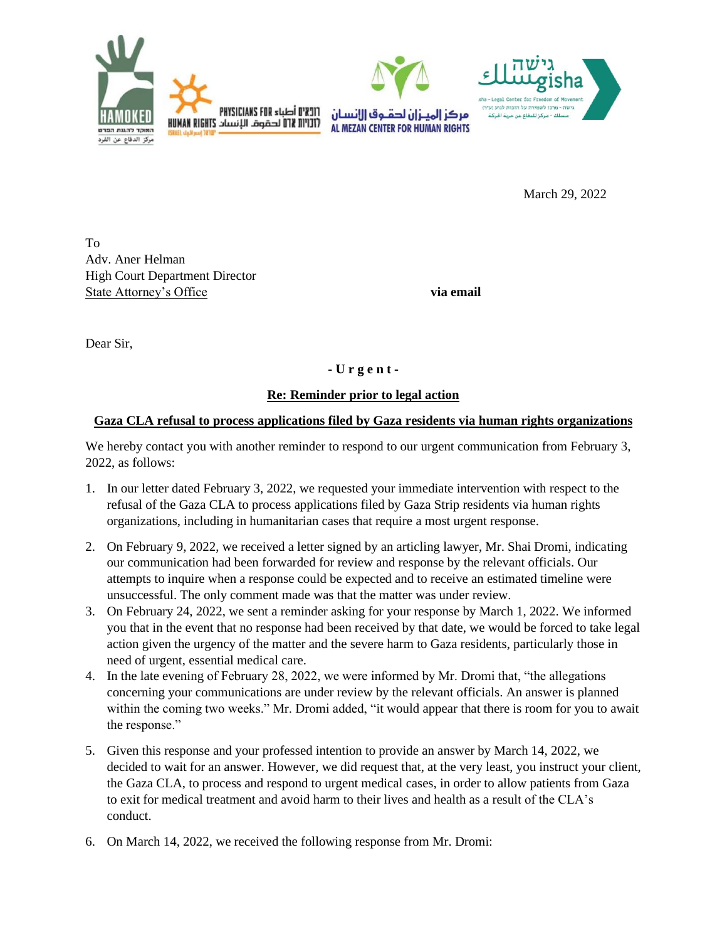

March 29, 2022

To Adv. Aner Helman High Court Department Director State Attorney's Office **via email** 

Dear Sir,

## **- U r g e n t -**

## **Re: Reminder prior to legal action**

## **Gaza CLA refusal to process applications filed by Gaza residents via human rights organizations**

We hereby contact you with another reminder to respond to our urgent communication from February 3, 2022, as follows:

- 1. In our letter dated February 3, 2022, we requested your immediate intervention with respect to the refusal of the Gaza CLA to process applications filed by Gaza Strip residents via human rights organizations, including in humanitarian cases that require a most urgent response.
- 2. On February 9, 2022, we received a letter signed by an articling lawyer, Mr. Shai Dromi, indicating our communication had been forwarded for review and response by the relevant officials. Our attempts to inquire when a response could be expected and to receive an estimated timeline were unsuccessful. The only comment made was that the matter was under review.
- 3. On February 24, 2022, we sent a reminder asking for your response by March 1, 2022. We informed you that in the event that no response had been received by that date, we would be forced to take legal action given the urgency of the matter and the severe harm to Gaza residents, particularly those in need of urgent, essential medical care.
- 4. In the late evening of February 28, 2022, we were informed by Mr. Dromi that, "the allegations concerning your communications are under review by the relevant officials. An answer is planned within the coming two weeks." Mr. Dromi added, "it would appear that there is room for you to await the response."
- 5. Given this response and your professed intention to provide an answer by March 14, 2022, we decided to wait for an answer. However, we did request that, at the very least, you instruct your client, the Gaza CLA, to process and respond to urgent medical cases, in order to allow patients from Gaza to exit for medical treatment and avoid harm to their lives and health as a result of the CLA's conduct.
- 6. On March 14, 2022, we received the following response from Mr. Dromi: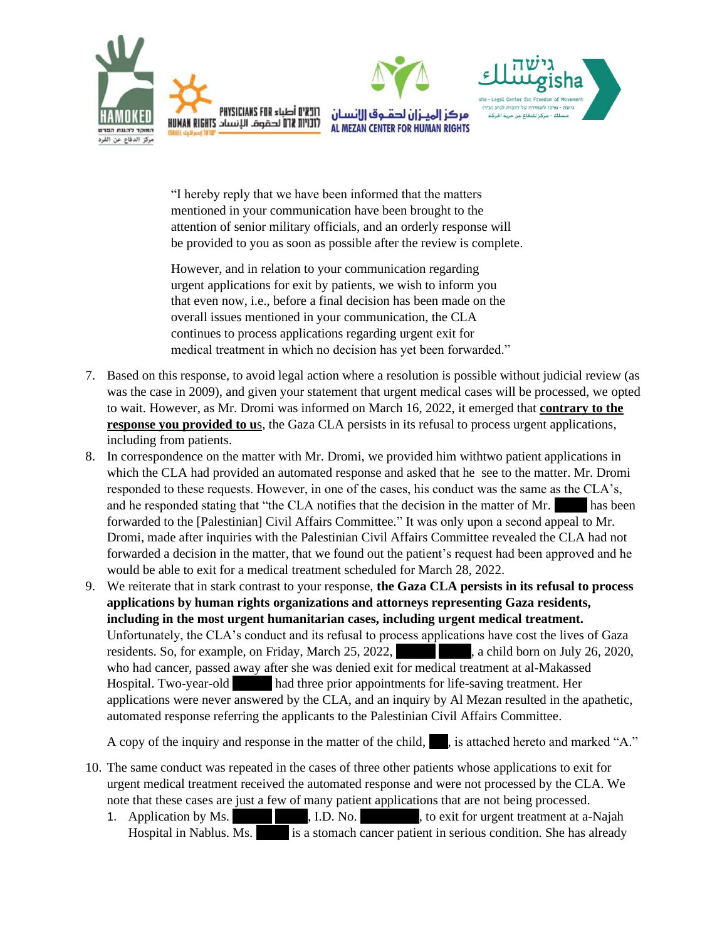

"I hereby reply that we have been informed that the matters mentioned in your communication have been brought to the attention of senior military officials, and an orderly response will be provided to you as soon as possible after the review is complete.

However, and in relation to your communication regarding urgent applications for exit by patients, we wish to inform you that even now, i.e., before a final decision has been made on the overall issues mentioned in your communication, the CLA continues to process applications regarding urgent exit for medical treatment in which no decision has yet been forwarded."

- 7. Based on this response, to avoid legal action where a resolution is possible without judicial review (as was the case in 2009), and given your statement that urgent medical cases will be processed, we opted to wait. However, as Mr. Dromi was informed on March 16, 2022, it emerged that **contrary to the response you provided to us**, the Gaza CLA persists in its refusal to process urgent applications, including from patients.
- 8. In correspondence on the matter with Mr. Dromi, we provided him withtwo patient applications in which the CLA had provided an automated response and asked that he see to the matter. Mr. Dromi responded to these requests. However, in one of the cases, his conduct was the same as the CLA's, and he responded stating that "the CLA notifies that the decision in the matter of Mr.  $\blacksquare$  has been forwarded to the [Palestinian] Civil Affairs Committee." It was only upon a second appeal to Mr. Dromi, made after inquiries with the Palestinian Civil Affairs Committee revealed the CLA had not forwarded a decision in the matter, that we found out the patient's request had been approved and he would be able to exit for a medical treatment scheduled for March 28, 2022.
- 9. We reiterate that in stark contrast to your response, **the Gaza CLA persists in its refusal to process applications by human rights organizations and attorneys representing Gaza residents, including in the most urgent humanitarian cases, including urgent medical treatment.** Unfortunately, the CLA's conduct and its refusal to process applications have cost the lives of Gaza residents. So, for example, on Friday, March 25, 2022, a child born on July 26, 2020, who had cancer, passed away after she was denied exit for medical treatment at al-Makassed Hospital. Two-year-old  $\qquad$  had three prior appointments for life-saving treatment. Her applications were never answered by the CLA, and an inquiry by Al Mezan resulted in the apathetic, automated response referring the applicants to the Palestinian Civil Affairs Committee.

A copy of the inquiry and response in the matter of the child, is attached hereto and marked "A."

- 10. The same conduct was repeated in the cases of three other patients whose applications to exit for urgent medical treatment received the automated response and were not processed by the CLA. We note that these cases are just a few of many patient applications that are not being processed.
	- 1. Application by Ms.  $\blacksquare$ , I.D. No.  $\blacksquare$ , to exit for urgent treatment at a-Najah Hospital in Nablus. Ms. \*\*\*\* is a stomach cancer patient in serious condition. She has already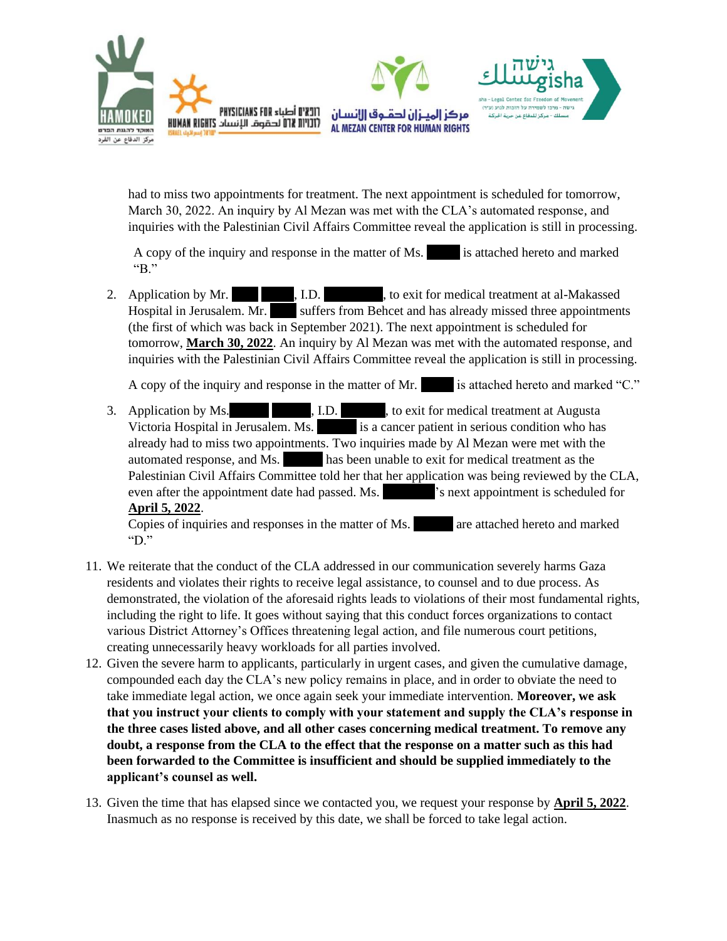

had to miss two appointments for treatment. The next appointment is scheduled for tomorrow, March 30, 2022. An inquiry by Al Mezan was met with the CLA's automated response, and inquiries with the Palestinian Civil Affairs Committee reveal the application is still in processing.

A copy of the inquiry and response in the matter of Ms.  $\cdot$  is attached hereto and marked "B"

2. Application by Mr.  $\blacksquare$ , I.D.  $\blacksquare$ , to exit for medical treatment at al-Makassed Hospital in Jerusalem. Mr. \*\*\*\* suffers from Behcet and has already missed three appointments (the first of which was back in September 2021). The next appointment is scheduled for tomorrow, **March 30, 2022**. An inquiry by Al Mezan was met with the automated response, and inquiries with the Palestinian Civil Affairs Committee reveal the application is still in processing.

A copy of the inquiry and response in the matter of Mr.  $\qquad$  is attached hereto and marked "C."

3. Application by Ms.  $I.D.$ , to exit for medical treatment at Augusta Victoria Hospital in Jerusalem. Ms. \*\*\*\*\*\*\*\*\*\* is a cancer patient in serious condition who has already had to miss two appointments. Two inquiries made by Al Mezan were met with the automated response, and Ms. \*\*\*\*\*\* has been unable to exit for medical treatment as the Palestinian Civil Affairs Committee told her that her application was being reviewed by the CLA, even after the appointment date had passed. Ms.  $^{\circ}$  s next appointment is scheduled for **April 5, 2022**.

Copies of inquiries and responses in the matter of Ms. The are attached hereto and marked "D."

- 11. We reiterate that the conduct of the CLA addressed in our communication severely harms Gaza residents and violates their rights to receive legal assistance, to counsel and to due process. As demonstrated, the violation of the aforesaid rights leads to violations of their most fundamental rights, including the right to life. It goes without saying that this conduct forces organizations to contact various District Attorney's Offices threatening legal action, and file numerous court petitions, creating unnecessarily heavy workloads for all parties involved.
- 12. Given the severe harm to applicants, particularly in urgent cases, and given the cumulative damage, compounded each day the CLA's new policy remains in place, and in order to obviate the need to take immediate legal action, we once again seek your immediate intervention. **Moreover, we ask that you instruct your clients to comply with your statement and supply the CLA's response in the three cases listed above, and all other cases concerning medical treatment. To remove any doubt, a response from the CLA to the effect that the response on a matter such as this had been forwarded to the Committee is insufficient and should be supplied immediately to the applicant's counsel as well.**
- 13. Given the time that has elapsed since we contacted you, we request your response by **April 5, 2022**. Inasmuch as no response is received by this date, we shall be forced to take legal action.